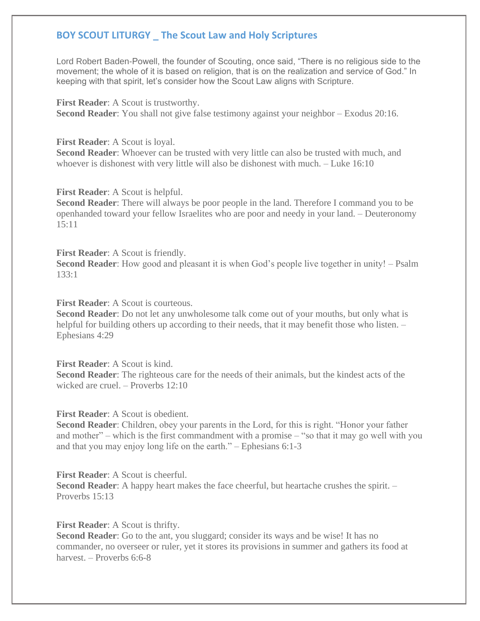## **BOY SCOUT LITURGY \_ The Scout Law and Holy Scriptures**

Lord Robert Baden-Powell, the founder of Scouting, once said, "There is no religious side to the movement; the whole of it is based on religion, that is on the realization and service of God." In keeping with that spirit, let's consider how the Scout Law aligns with Scripture.

**First Reader**: A Scout is trustworthy. **Second Reader**: You shall not give false testimony against your neighbor – Exodus 20:16.

**First Reader**: A Scout is loyal.

**Second Reader**: Whoever can be trusted with very little can also be trusted with much, and whoever is dishonest with very little will also be dishonest with much. – Luke 16:10

**First Reader**: A Scout is helpful.

**Second Reader**: There will always be poor people in the land. Therefore I command you to be openhanded toward your fellow Israelites who are poor and needy in your land. – Deuteronomy 15:11

**First Reader**: A Scout is friendly.

**Second Reader**: How good and pleasant it is when God's people live together in unity! – Psalm 133:1

**First Reader:** A Scout is courteous.

**Second Reader**: Do not let any unwholesome talk come out of your mouths, but only what is helpful for building others up according to their needs, that it may benefit those who listen.  $-$ Ephesians 4:29

**First Reader**: A Scout is kind. **Second Reader**: The righteous care for the needs of their animals, but the kindest acts of the wicked are cruel. – Proverbs 12:10

**First Reader**: A Scout is obedient.

**Second Reader**: Children, obey your parents in the Lord, for this is right. "Honor your father and mother" – which is the first commandment with a promise – "so that it may go well with you and that you may enjoy long life on the earth." – Ephesians 6:1-3

**First Reader**: A Scout is cheerful.

**Second Reader**: A happy heart makes the face cheerful, but heartache crushes the spirit. – Proverbs 15:13

**First Reader**: A Scout is thrifty.

**Second Reader:** Go to the ant, you sluggard; consider its ways and be wise! It has no commander, no overseer or ruler, yet it stores its provisions in summer and gathers its food at harvest. – Proverbs 6:6-8